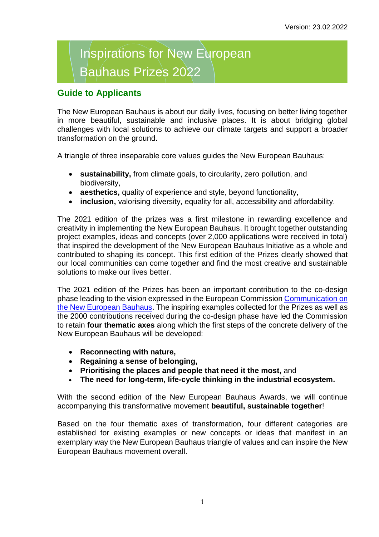# Inspirations for New European Bauhaus Prizes 2022

## **Guide to Applicants**

The New European Bauhaus is about our daily lives, focusing on better living together in more beautiful, sustainable and inclusive places. It is about bridging global challenges with local solutions to achieve our climate targets and support a broader transformation on the ground.

A triangle of three inseparable core values guides the New European Bauhaus:

- **sustainability,** from climate goals, to circularity, zero pollution, and biodiversity,
- **aesthetics,** quality of experience and style, beyond functionality,
- **inclusion,** valorising diversity, equality for all, accessibility and affordability.

The 2021 edition of the prizes was a first milestone in rewarding excellence and creativity in implementing the New European Bauhaus. It brought together outstanding project examples, ideas and concepts (over 2,000 applications were received in total) that inspired the development of the New European Bauhaus Initiative as a whole and contributed to shaping its concept. This first edition of the Prizes clearly showed that our local communities can come together and find the most creative and sustainable solutions to make our lives better.

The 2021 edition of the Prizes has been an important contribution to the co-design phase leading to the vision expressed in the European Commission [Communication](https://europa.eu/new-european-bauhaus/system/files/2021-09/COM%282021%29_573_EN_ACT.pdf) on the New European Bauhaus. The inspiring examples collected for the Prizes as well as the 2000 contributions received during the co-design phase have led the Commission to retain **four thematic axes** along which the first steps of the concrete delivery of the New European Bauhaus will be developed:

- **Reconnecting with nature,**
- **Regaining a sense of belonging,**
- **Prioritising the places and people that need it the most,** and
- **The need for long-term, life-cycle thinking in the industrial ecosystem.**

With the second edition of the New European Bauhaus Awards, we will continue accompanying this transformative movement **beautiful, sustainable together**!

Based on the four thematic axes of transformation, four different categories are established for existing examples or new concepts or ideas that manifest in an exemplary way the New European Bauhaus triangle of values and can inspire the New European Bauhaus movement overall.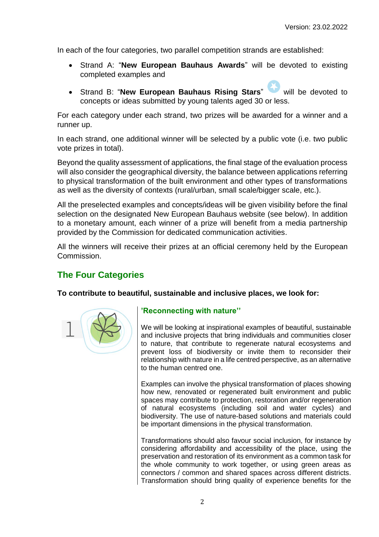In each of the four categories, two parallel competition strands are established:

- Strand A: "**New European Bauhaus Awards**" will be devoted to existing completed examples and
- Strand B: "**New European Bauhaus Rising Stars**" will be devoted to concepts or ideas submitted by young talents aged 30 or less.

For each category under each strand, two prizes will be awarded for a winner and a runner up.

In each strand, one additional winner will be selected by a public vote (i.e. two public vote prizes in total).

Beyond the quality assessment of applications, the final stage of the evaluation process will also consider the geographical diversity, the balance between applications referring to physical transformation of the built environment and other types of transformations as well as the diversity of contexts (rural/urban, small scale/bigger scale, etc.).

All the preselected examples and concepts/ideas will be given visibility before the final selection on the designated New European Bauhaus website (see below). In addition to a monetary amount, each winner of a prize will benefit from a media partnership provided by the Commission for dedicated communication activities.

All the winners will receive their prizes at an official ceremony held by the European Commission.

# **The Four Categories**

**To contribute to beautiful, sustainable and inclusive places, we look for:**



## **'Reconnecting with nature''**

We will be looking at inspirational examples of beautiful, sustainable and inclusive projects that bring individuals and communities closer to nature, that contribute to regenerate natural ecosystems and prevent loss of biodiversity or invite them to reconsider their relationship with nature in a life centred perspective, as an alternative to the human centred one.

Examples can involve the physical transformation of places showing how new, renovated or regenerated built environment and public spaces may contribute to protection, restoration and/or regeneration of natural ecosystems (including soil and water cycles) and biodiversity. The use of nature-based solutions and materials could be important dimensions in the physical transformation.

Transformations should also favour social inclusion, for instance by considering affordability and accessibility of the place, using the preservation and restoration of its environment as a common task for the whole community to work together, or using green areas as connectors / common and shared spaces across different districts. Transformation should bring quality of experience benefits for the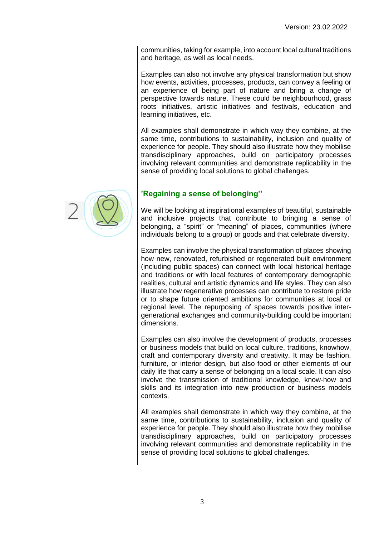communities, taking for example, into account local cultural traditions and heritage, as well as local needs.

Examples can also not involve any physical transformation but show how events, activities, processes, products, can convey a feeling or an experience of being part of nature and bring a change of perspective towards nature. These could be neighbourhood, grass roots initiatives, artistic initiatives and festivals, education and learning initiatives, etc.

All examples shall demonstrate in which way they combine, at the same time, contributions to sustainability, inclusion and quality of experience for people. They should also illustrate how they mobilise transdisciplinary approaches, build on participatory processes involving relevant communities and demonstrate replicability in the sense of providing local solutions to global challenges.



We will be looking at inspirational examples of beautiful, sustainable and inclusive projects that contribute to bringing a sense of belonging, a "spirit" or "meaning" of places, communities (where individuals belong to a group) or goods and that celebrate diversity.

Examples can involve the physical transformation of places showing how new, renovated, refurbished or regenerated built environment (including public spaces) can connect with local historical heritage and traditions or with local features of contemporary demographic realities, cultural and artistic dynamics and life styles. They can also illustrate how regenerative processes can contribute to restore pride or to shape future oriented ambitions for communities at local or regional level. The repurposing of spaces towards positive intergenerational exchanges and community-building could be important dimensions.

Examples can also involve the development of products, processes or business models that build on local culture, traditions, knowhow, craft and contemporary diversity and creativity. It may be fashion, furniture, or interior design, but also food or other elements of our daily life that carry a sense of belonging on a local scale. It can also involve the transmission of traditional knowledge, know-how and skills and its integration into new production or business models contexts.

All examples shall demonstrate in which way they combine, at the same time, contributions to sustainability, inclusion and quality of experience for people. They should also illustrate how they mobilise transdisciplinary approaches, build on participatory processes involving relevant communities and demonstrate replicability in the sense of providing local solutions to global challenges.

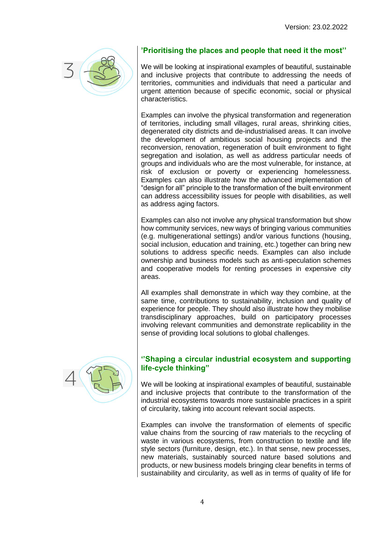

## **'Prioritising the places and people that need it the most''**

We will be looking at inspirational examples of beautiful, sustainable and inclusive projects that contribute to addressing the needs of territories, communities and individuals that need a particular and urgent attention because of specific economic, social or physical characteristics.

Examples can involve the physical transformation and regeneration of territories, including small villages, rural areas, shrinking cities, degenerated city districts and de-industrialised areas. It can involve the development of ambitious social housing projects and the reconversion, renovation, regeneration of built environment to fight segregation and isolation, as well as address particular needs of groups and individuals who are the most vulnerable, for instance, at risk of exclusion or poverty or experiencing homelessness. Examples can also illustrate how the advanced implementation of "design for all" principle to the transformation of the built environment can address accessibility issues for people with disabilities, as well as address aging factors.

Examples can also not involve any physical transformation but show how community services, new ways of bringing various communities (e.g. multigenerational settings) and/or various functions (housing, social inclusion, education and training, etc.) together can bring new solutions to address specific needs. Examples can also include ownership and business models such as anti-speculation schemes and cooperative models for renting processes in expensive city areas.

All examples shall demonstrate in which way they combine, at the same time, contributions to sustainability, inclusion and quality of experience for people. They should also illustrate how they mobilise transdisciplinary approaches, build on participatory processes involving relevant communities and demonstrate replicability in the sense of providing local solutions to global challenges.



#### **''Shaping a circular industrial ecosystem and supporting life-cycle thinking"**

We will be looking at inspirational examples of beautiful, sustainable and inclusive projects that contribute to the transformation of the industrial ecosystems towards more sustainable practices in a spirit of circularity, taking into account relevant social aspects.

Examples can involve the transformation of elements of specific value chains from the sourcing of raw materials to the recycling of waste in various ecosystems, from construction to textile and life style sectors (furniture, design, etc.). In that sense, new processes, new materials, sustainably sourced nature based solutions and products, or new business models bringing clear benefits in terms of sustainability and circularity, as well as in terms of quality of life for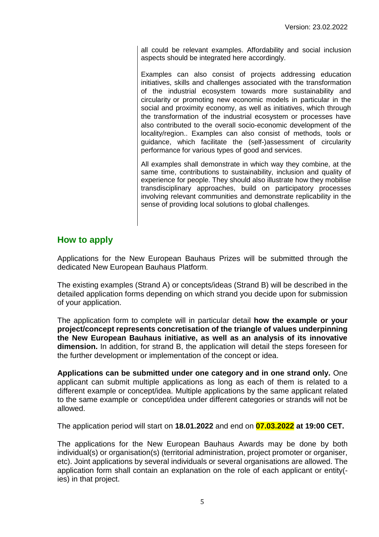all could be relevant examples. Affordability and social inclusion aspects should be integrated here accordingly.

Examples can also consist of projects addressing education initiatives, skills and challenges associated with the transformation of the industrial ecosystem towards more sustainability and circularity or promoting new economic models in particular in the social and proximity economy, as well as initiatives, which through the transformation of the industrial ecosystem or processes have also contributed to the overall socio-economic development of the locality/region.. Examples can also consist of methods, tools or guidance, which facilitate the (self-)assessment of circularity performance for various types of good and services.

All examples shall demonstrate in which way they combine, at the same time, contributions to sustainability, inclusion and quality of experience for people. They should also illustrate how they mobilise transdisciplinary approaches, build on participatory processes involving relevant communities and demonstrate replicability in the sense of providing local solutions to global challenges.

## **How to apply**

Applications for the New European Bauhaus Prizes will be submitted through the dedicated New European Bauhaus Platform.

The existing examples (Strand A) or concepts/ideas (Strand B) will be described in the detailed application forms depending on which strand you decide upon for submission of your application.

The application form to complete will in particular detail **how the example or your project/concept represents concretisation of the triangle of values underpinning the New European Bauhaus initiative, as well as an analysis of its innovative dimension.** In addition, for strand B, the application will detail the steps foreseen for the further development or implementation of the concept or idea.

**Applications can be submitted under one category and in one strand only.** One applicant can submit multiple applications as long as each of them is related to a different example or concept/idea. Multiple applications by the same applicant related to the same example or concept/idea under different categories or strands will not be allowed.

The application period will start on **18.01.2022** and end on **07.03.2022 at 19:00 CET.**

The applications for the New European Bauhaus Awards may be done by both individual(s) or organisation(s) (territorial administration, project promoter or organiser, etc). Joint applications by several individuals or several organisations are allowed. The application form shall contain an explanation on the role of each applicant or entity( ies) in that project.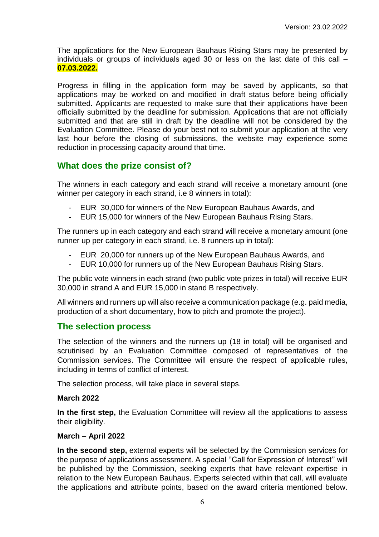The applications for the New European Bauhaus Rising Stars may be presented by individuals or groups of individuals aged 30 or less on the last date of this call – **07.03.2022.**

Progress in filling in the application form may be saved by applicants, so that applications may be worked on and modified in draft status before being officially submitted. Applicants are requested to make sure that their applications have been officially submitted by the deadline for submission. Applications that are not officially submitted and that are still in draft by the deadline will not be considered by the Evaluation Committee. Please do your best not to submit your application at the very last hour before the closing of submissions, the website may experience some reduction in processing capacity around that time.

# **What does the prize consist of?**

The winners in each category and each strand will receive a monetary amount (one winner per category in each strand, i.e 8 winners in total):

- EUR 30,000 for winners of the New European Bauhaus Awards, and
- EUR 15,000 for winners of the New European Bauhaus Rising Stars.

The runners up in each category and each strand will receive a monetary amount (one runner up per category in each strand, i.e. 8 runners up in total):

- EUR 20,000 for runners up of the New European Bauhaus Awards, and
- EUR 10,000 for runners up of the New European Bauhaus Rising Stars.

The public vote winners in each strand (two public vote prizes in total) will receive EUR 30,000 in strand A and EUR 15,000 in stand B respectively.

All winners and runners up will also receive a communication package (e.g. paid media, production of a short documentary, how to pitch and promote the project).

## **The selection process**

The selection of the winners and the runners up (18 in total) will be organised and scrutinised by an Evaluation Committee composed of representatives of the Commission services. The Committee will ensure the respect of applicable rules, including in terms of conflict of interest.

The selection process, will take place in several steps.

#### **March 2022**

**In the first step,** the Evaluation Committee will review all the applications to assess their eligibility.

#### **March – April 2022**

**In the second step,** external experts will be selected by the Commission services for the purpose of applications assessment. A special ''Call for Expression of Interest'' will be published by the Commission, seeking experts that have relevant expertise in relation to the New European Bauhaus. Experts selected within that call, will evaluate the applications and attribute points, based on the award criteria mentioned below.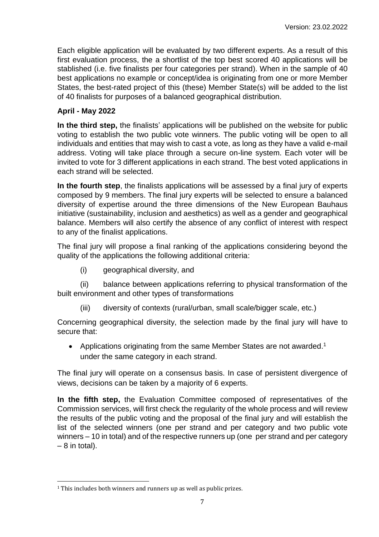Each eligible application will be evaluated by two different experts. As a result of this first evaluation process, the a shortlist of the top best scored 40 applications will be stablished (i.e. five finalists per four categories per strand). When in the sample of 40 best applications no example or concept/idea is originating from one or more Member States, the best-rated project of this (these) Member State(s) will be added to the list of 40 finalists for purposes of a balanced geographical distribution.

## **April - May 2022**

**In the third step,** the finalists' applications will be published on the website for public voting to establish the two public vote winners. The public voting will be open to all individuals and entities that may wish to cast a vote, as long as they have a valid e-mail address. Voting will take place through a secure on-line system. Each voter will be invited to vote for 3 different applications in each strand. The best voted applications in each strand will be selected.

**In the fourth step**, the finalists applications will be assessed by a final jury of experts composed by 9 members. The final jury experts will be selected to ensure a balanced diversity of expertise around the three dimensions of the New European Bauhaus initiative (sustainability, inclusion and aesthetics) as well as a gender and geographical balance. Members will also certify the absence of any conflict of interest with respect to any of the finalist applications.

The final jury will propose a final ranking of the applications considering beyond the quality of the applications the following additional criteria:

(i) geographical diversity, and

(ii) balance between applications referring to physical transformation of the built environment and other types of transformations

(iii) diversity of contexts (rural/urban, small scale/bigger scale, etc.)

Concerning geographical diversity, the selection made by the final jury will have to secure that:

• Applications originating from the same Member States are not awarded.<sup>1</sup> under the same category in each strand.

The final jury will operate on a consensus basis. In case of persistent divergence of views, decisions can be taken by a majority of 6 experts.

**In the fifth step,** the Evaluation Committee composed of representatives of the Commission services, will first check the regularity of the whole process and will review the results of the public voting and the proposal of the final jury and will establish the list of the selected winners (one per strand and per category and two public vote winners – 10 in total) and of the respective runners up (one per strand and per category  $-8$  in total).

l

<sup>&</sup>lt;sup>1</sup> This includes both winners and runners up as well as public prizes.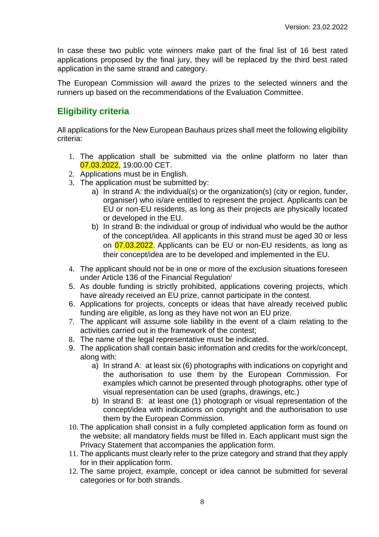In case these two public vote winners make part of the final list of 16 best rated applications proposed by the final jury, they will be replaced by the third best rated application in the same strand and category.

The European Commission will award the prizes to the selected winners and the runners up based on the recommendations of the Evaluation Committee.

# **Eligibility criteria**

All applications for the New European Bauhaus prizes shall meet the following eligibility criteria:

- 1. The application shall be submitted via the online platform no later than 07.03.2022, 19:00.00 CET.
- 2. Applications must be in English.
- 3. The application must be submitted by:
	- a) In strand A: the individual(s) or the organization(s) (city or region, funder, organiser) who is/are entitled to represent the project. Applicants can be EU or non-EU residents, as long as their projects are physically located or developed in the EU.
	- b) In strand B: the individual or group of individual who would be the author of the concept/idea. All applicants in this strand must be aged 30 or less on 07.03.2022. Applicants can be EU or non-EU residents, as long as their concept/idea are to be developed and implemented in the EU.
- 4. The applicant should not be in one or more of the exclusion situations foreseen under Article 136 of the Financial Regulation<sup>i</sup>
- 5. As double funding is strictly prohibited, applications covering projects, which have already received an EU prize, cannot participate in the contest.
- 6. Applications for projects, concepts or ideas that have already received public funding are eligible, as long as they have not won an EU prize.
- 7. The applicant will assume sole liability in the event of a claim relating to the activities carried out in the framework of the contest;
- 8. The name of the legal representative must be indicated.
- 9. The application shall contain basic information and credits for the work/concept, along with:
	- a) In strand A: at least six (6) photographs with indications on copyright and the authorisation to use them by the European Commission. For examples which cannot be presented through photographs, other type of visual representation can be used (graphs, drawings, etc.)
	- b) In strand B: at least one (1) photograph or visual representation of the concept/idea with indications on copyright and the authorisation to use them by the European Commission.
- 10. The application shall consist in a fully completed application form as found on the website; all mandatory fields must be filled in. Each applicant must sign the Privacy Statement that accompanies the application form.
- 11. The applicants must clearly refer to the prize category and strand that they apply for in their application form.
- 12. The same project, example, concept or idea cannot be submitted for several categories or for both strands.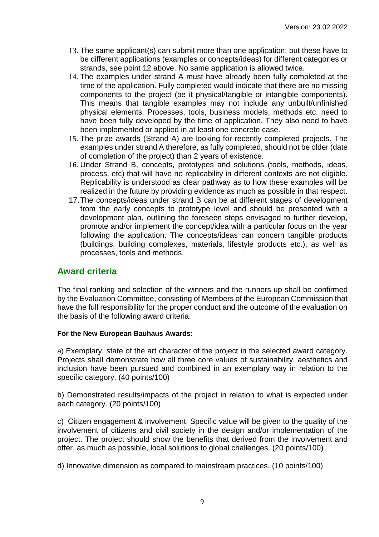- 13. The same applicant(s) can submit more than one application, but these have to be different applications (examples or concepts/ideas) for different categories or strands, see point 12 above. No same application is allowed twice.
- 14. The examples under strand A must have already been fully completed at the time of the application. Fully completed would indicate that there are no missing components to the project (be it physical/tangible or intangible components). This means that tangible examples may not include any unbuilt/unfinished physical elements. Processes, tools, business models, methods etc. need to have been fully developed by the time of application. They also need to have been implemented or applied in at least one concrete case.
- 15. The prize awards (Strand A) are looking for recently completed projects. The examples under strand A therefore, as fully completed, should not be older (date of completion of the project) than 2 years of existence.
- 16. Under Strand B, concepts, prototypes and solutions (tools, methods, ideas, process, etc) that will have no replicability in different contexts are not eligible. Replicability is understood as clear pathway as to how these examples will be realized in the future by providing evidence as much as possible in that respect.
- 17.The concepts/ideas under strand B can be at different stages of development from the early concepts to prototype level and should be presented with a development plan, outlining the foreseen steps envisaged to further develop, promote and/or implement the concept/idea with a particular focus on the year following the application. The concepts/ideas can concern tangible products (buildings, building complexes, materials, lifestyle products etc.), as well as processes, tools and methods.

# **Award criteria**

The final ranking and selection of the winners and the runners up shall be confirmed by the Evaluation Committee, consisting of Members of the European Commission that have the full responsibility for the proper conduct and the outcome of the evaluation on the basis of the following award criteria:

#### **For the New European Bauhaus Awards:**

a) Exemplary, state of the art character of the project in the selected award category. Projects shall demonstrate how all three core values of sustainability, aesthetics and inclusion have been pursued and combined in an exemplary way in relation to the specific category. (40 points/100)

b) Demonstrated results/impacts of the project in relation to what is expected under each category. (20 points/100)

c) Citizen engagement & involvement. Specific value will be given to the quality of the involvement of citizens and civil society in the design and/or implementation of the project. The project should show the benefits that derived from the involvement and offer, as much as possible, local solutions to global challenges. (20 points/100)

d) Innovative dimension as compared to mainstream practices. (10 points/100)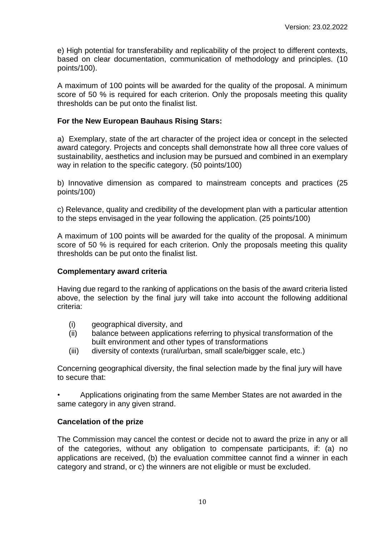e) High potential for transferability and replicability of the project to different contexts, based on clear documentation, communication of methodology and principles. (10 points/100).

A maximum of 100 points will be awarded for the quality of the proposal. A minimum score of 50 % is required for each criterion. Only the proposals meeting this quality thresholds can be put onto the finalist list.

## **For the New European Bauhaus Rising Stars:**

a) Exemplary, state of the art character of the project idea or concept in the selected award category. Projects and concepts shall demonstrate how all three core values of sustainability, aesthetics and inclusion may be pursued and combined in an exemplary way in relation to the specific category. (50 points/100)

b) Innovative dimension as compared to mainstream concepts and practices (25 points/100)

c) Relevance, quality and credibility of the development plan with a particular attention to the steps envisaged in the year following the application. (25 points/100)

A maximum of 100 points will be awarded for the quality of the proposal. A minimum score of 50 % is required for each criterion. Only the proposals meeting this quality thresholds can be put onto the finalist list.

#### **Complementary award criteria**

Having due regard to the ranking of applications on the basis of the award criteria listed above, the selection by the final jury will take into account the following additional criteria:

- (i) geographical diversity, and
- (ii) balance between applications referring to physical transformation of the built environment and other types of transformations
- (iii) diversity of contexts (rural/urban, small scale/bigger scale, etc.)

Concerning geographical diversity, the final selection made by the final jury will have to secure that:

• Applications originating from the same Member States are not awarded in the same category in any given strand.

#### **Cancelation of the prize**

The Commission may cancel the contest or decide not to award the prize in any or all of the categories, without any obligation to compensate participants, if: (a) no applications are received, (b) the evaluation committee cannot find a winner in each category and strand, or c) the winners are not eligible or must be excluded.